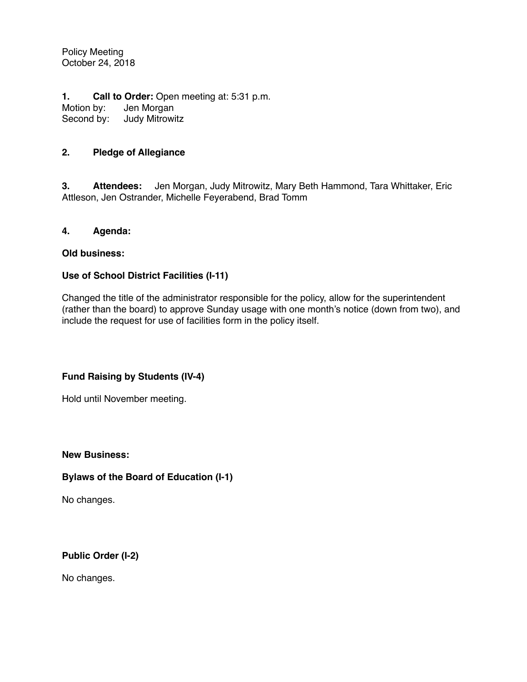Policy Meeting October 24, 2018

**1. Call to Order:** Open meeting at: 5:31 p.m. Motion by: Jen Morgan<br>Second by: Judy Mitrowi **Judy Mitrowitz** 

# **2. Pledge of Allegiance**

**3. Attendees:** Jen Morgan, Judy Mitrowitz, Mary Beth Hammond, Tara Whittaker, Eric Attleson, Jen Ostrander, Michelle Feyerabend, Brad Tomm

### **4. Agenda:**

### **Old business:**

## **Use of School District Facilities (I-11)**

Changed the title of the administrator responsible for the policy, allow for the superintendent (rather than the board) to approve Sunday usage with one month's notice (down from two), and include the request for use of facilities form in the policy itself.

## **Fund Raising by Students (IV-4)**

Hold until November meeting.

**New Business:**

## **Bylaws of the Board of Education (I-1)**

No changes.

**Public Order (I-2)**

No changes.